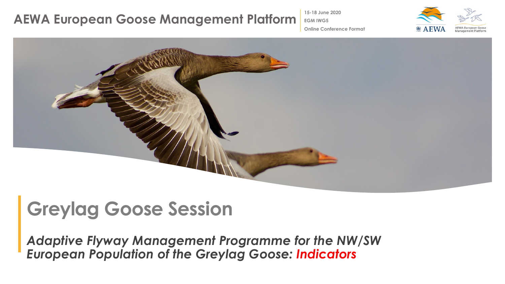**15-18 June 2020**

**EGM IWG5**



**Online Conference Format**



# **Greylag Goose Session**

*Adaptive Flyway Management Programme for the NW/SW European Population of the Greylag Goose: Indicators*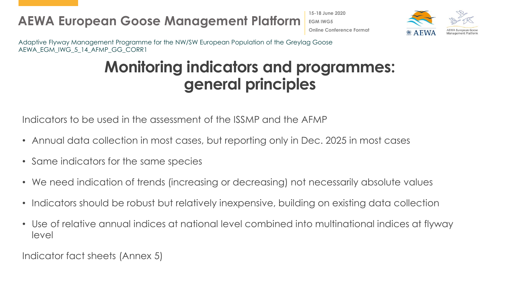**15-18 June 2020 EGM IWG5 Online Conference Format**



Adaptive Flyway Management Programme for the NW/SW European Population of the Greylag Goose AEWA\_EGM\_IWG\_5\_14\_AFMP\_GG\_CORR1

## **Monitoring indicators and programmes: general principles**

Indicators to be used in the assessment of the ISSMP and the AFMP

- Annual data collection in most cases, but reporting only in Dec. 2025 in most cases
- Same indicators for the same species
- We need indication of trends (increasing or decreasing) not necessarily absolute values
- Indicators should be robust but relatively inexpensive, building on existing data collection
- Use of relative annual indices at national level combined into multinational indices at flyway level

Indicator fact sheets (Annex 5)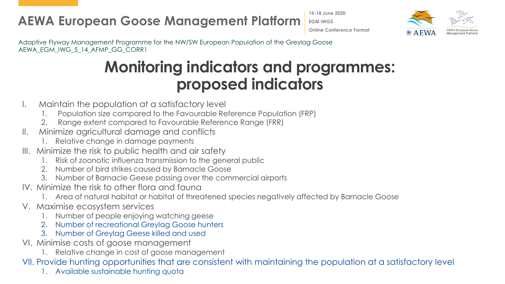**15-18 June 2020 EGM IWG5 Online Conference Format**



Adaptive Flyway Management Programme for the NW/SW European Population of the Greylag Goose AEWA\_EGM\_IWG\_5\_14\_AFMP\_GG\_CORR1

## **Monitoring indicators and programmes: proposed indicators**

- I. Maintain the population at a satisfactory level
	- 1. Population size compared to the Favourable Reference Population (FRP)
	- 2. Range extent compared to Favourable Reference Range (FRR)
- II. Minimize agricultural damage and conflicts
	- 1. Relative change in damage payments
- III. Minimize the risk to public health and air safety
	- Risk of zoonotic influenza transmission to the general public
	- 2. Number of bird strikes caused by Barnacle Goose
	- 3. Number of Barnacle Geese passing over the commercial airports
- IV. Minimize the risk to other flora and fauna
	- 1. Area of natural habitat or habitat of threatened species negatively affected by Barnacle Goose
- V. Maximise ecosystem services
	- 1. Number of people enjoying watching geese
	- 2. Number of recreational Greylag Goose hunters
	- 3. Number of Greylag Geese killed and used
- VI. Minimise costs of goose management
	- 1. Relative change in cost of goose management
- VII. Provide hunting opportunities that are consistent with maintaining the population at a satisfactory level
	- 1. Available sustainable hunting quota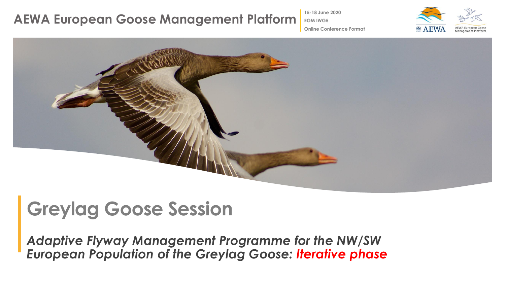**15-18 June 2020**

**EGM IWG5**



**Online Conference Format**



# **Greylag Goose Session**

*Adaptive Flyway Management Programme for the NW/SW European Population of the Greylag Goose: Iterative phase*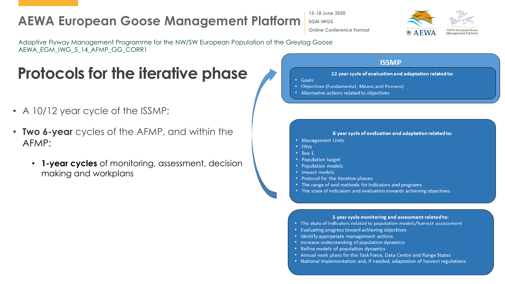**15-18 June 2020 EGM IWG5 Online Conference Format**



Adaptive Flyway Management Programme for the NW/SW European Population of the Greylag Goose AEWA\_EGM\_IWG\_5\_14\_AFMP\_GG\_CORR1

## **Protocols for the iterative phase**

- A 10/12 year cycle of the ISSMP;
- **Two 6-year** cycles of the AFMP, and within the AFMP:
	- **1-year cycles** of monitoring, assessment, decision making and workplans

#### **ISSMP**

#### 12 year cycle of evaluation and adaptation related to:

- Goals
- Objectives (Fundamental, Means and Process)
- Alternative actions related to objectives

#### 6 year cycle of evaluation and adaptation related to:

- Management Units
- FRVs
- $\cdot$  Box 1
- Population target
- Population models
- Impact models
- Protocol for the iterative phases
- The range of and methods for indicators and programs
- The state of indicators and evaluation towards achieving objectives

#### 1 year cycle monitoring and assessment related to:

- The state of indicators related to population models/harvest assessment
- Evaluating progress toward achieving objectives
- Identify appropriate management actions
- Increase understanding of population dynamics
- Refine models of population dynamics
- Annual work plans for the Task Force, Data Centre and Range States
- National implementation and, if needed, adaptation of harvest regulations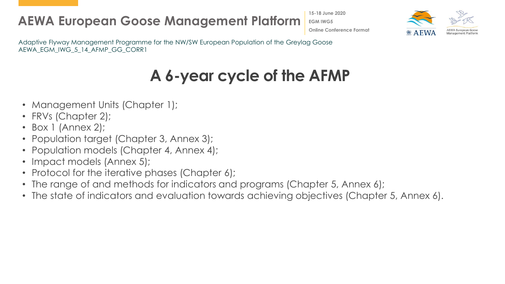**15-18 June 2020 EGM IWG5 Online Conference Format**



Adaptive Flyway Management Programme for the NW/SW European Population of the Greylag Goose AEWA\_EGM\_IWG\_5\_14\_AFMP\_GG\_CORR1

# **A 6-year cycle of the AFMP**

- Management Units (Chapter 1);
- FRVs (Chapter 2);
- Box 1 (Annex 2);
- Population target (Chapter 3, Annex 3);
- Population models (Chapter 4, Annex 4);
- Impact models (Annex 5);
- Protocol for the iterative phases (Chapter 6);
- The range of and methods for indicators and programs (Chapter 5, Annex 6);
- The state of indicators and evaluation towards achieving objectives (Chapter 5, Annex 6).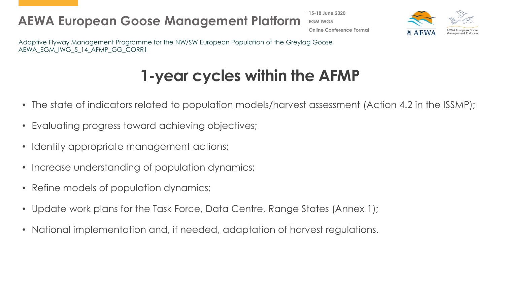**15-18 June 2020 EGM IWG5 Online Conference Format**



Adaptive Flyway Management Programme for the NW/SW European Population of the Greylag Goose AEWA\_EGM\_IWG\_5\_14\_AFMP\_GG\_CORR1

## **1-year cycles within the AFMP**

- The state of indicators related to population models/harvest assessment (Action 4.2 in the ISSMP);
- Evaluating progress toward achieving objectives;
- Identify appropriate management actions;
- Increase understanding of population dynamics;
- Refine models of population dynamics;
- Update work plans for the Task Force, Data Centre, Range States (Annex 1);
- National implementation and, if needed, adaptation of harvest regulations.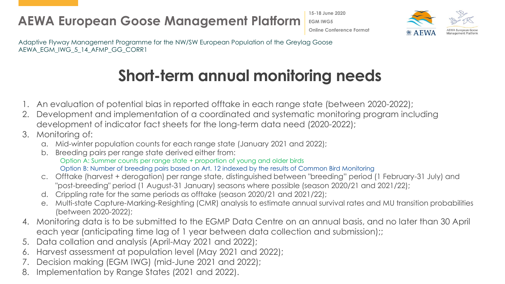**15-18 June 2020 EGM IWG5 Online Conference Format**



Adaptive Flyway Management Programme for the NW/SW European Population of the Greylag Goose AEWA\_EGM\_IWG\_5\_14\_AFMP\_GG\_CORR1

## **Short-term annual monitoring needs**

- 1. An evaluation of potential bias in reported offtake in each range state (between 2020-2022);
- 2. Development and implementation of a coordinated and systematic monitoring program including development of indicator fact sheets for the long-term data need (2020-2022);
- 3. Monitoring of:
	- a. Mid-winter population counts for each range state (January 2021 and 2022);
	- b. Breeding pairs per range state derived either from: Option A: Summer counts per range state + proportion of young and older birds Option B: Number of breeding pairs based on Art. 12 indexed by the results of Common Bird Monitoring
	- c. Offtake (harvest + derogation) per range state, distinguished between "breeding" period (1 February-31 July) and "post-breeding" period (1 August-31 January) seasons where possible (season 2020/21 and 2021/22);
	- d. Crippling rate for the same periods as offtake (season 2020/21 and 2021/22);
	- e. Multi-state Capture-Marking-Resighting (CMR) analysis to estimate annual survival rates and MU transition probabilities (between 2020-2022);
- 4. Monitoring data is to be submitted to the EGMP Data Centre on an annual basis, and no later than 30 April each year (anticipating time lag of 1 year between data collection and submission);;
- 5. Data collation and analysis (April-May 2021 and 2022);
- 6. Harvest assessment at population level (May 2021 and 2022);
- 7. Decision making (EGM IWG) (mid-June 2021 and 2022);
- Implementation by Range States (2021 and 2022).